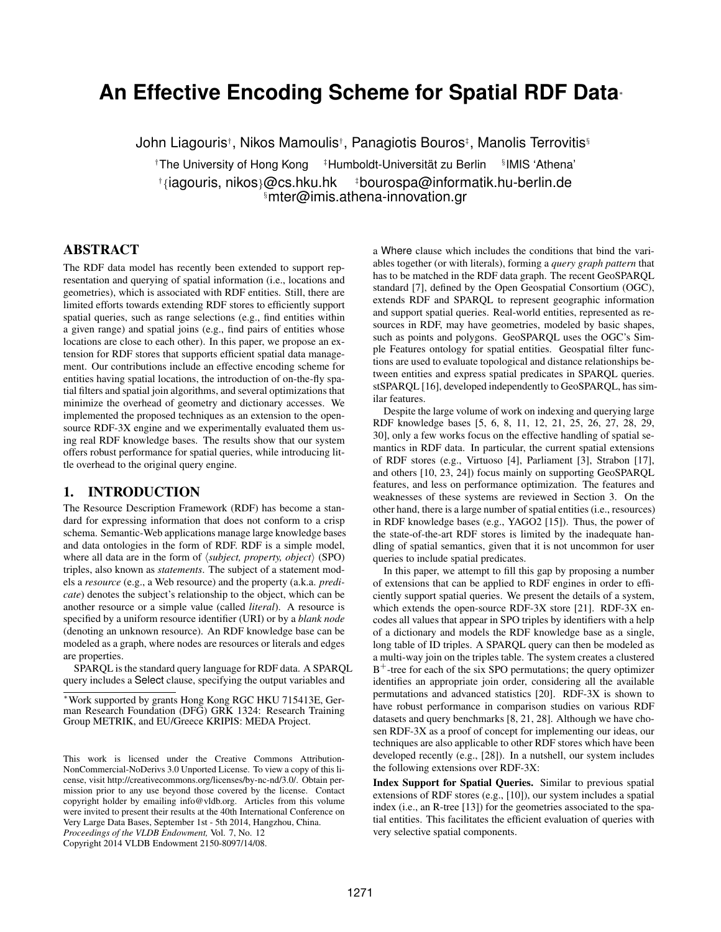# **An Effective Encoding Scheme for Spatial RDF Data**<sup>∗</sup>

John Liagouris† , Nikos Mamoulis† , Panagiotis Bouros‡ , Manolis Terrovitis§

<sup>†</sup>The University of Hong Kong <sup>#</sup>Humboldt-Universität zu Berlin MIS 'Athena'  $\dagger$ {iagouris, nikos}@cs.hku.hk {iagouris, nikos}@cs.hku.hk ‡bourospa@informatik.hu-berlin.de §mter@imis.athena-innovation.gr

### ABSTRACT

The RDF data model has recently been extended to support representation and querying of spatial information (i.e., locations and geometries), which is associated with RDF entities. Still, there are limited efforts towards extending RDF stores to efficiently support spatial queries, such as range selections (e.g., find entities within a given range) and spatial joins (e.g., find pairs of entities whose locations are close to each other). In this paper, we propose an extension for RDF stores that supports efficient spatial data management. Our contributions include an effective encoding scheme for entities having spatial locations, the introduction of on-the-fly spatial filters and spatial join algorithms, and several optimizations that minimize the overhead of geometry and dictionary accesses. We implemented the proposed techniques as an extension to the opensource RDF-3X engine and we experimentally evaluated them using real RDF knowledge bases. The results show that our system offers robust performance for spatial queries, while introducing little overhead to the original query engine.

#### 1. INTRODUCTION

The Resource Description Framework (RDF) has become a standard for expressing information that does not conform to a crisp schema. Semantic-Web applications manage large knowledge bases and data ontologies in the form of RDF. RDF is a simple model, where all data are in the form of *(subject, property, object)* (SPO) triples, also known as *statements*. The subject of a statement models a *resource* (e.g., a Web resource) and the property (a.k.a. *predicate*) denotes the subject's relationship to the object, which can be another resource or a simple value (called *literal*). A resource is specified by a uniform resource identifier (URI) or by a *blank node* (denoting an unknown resource). An RDF knowledge base can be modeled as a graph, where nodes are resources or literals and edges are properties.

SPARQL is the standard query language for RDF data. A SPARQL query includes a Select clause, specifying the output variables and

This work is licensed under the Creative Commons Attribution-NonCommercial-NoDerivs 3.0 Unported License. To view a copy of this license, visit http://creativecommons.org/licenses/by-nc-nd/3.0/. Obtain permission prior to any use beyond those covered by the license. Contact copyright holder by emailing info@vldb.org. Articles from this volume were invited to present their results at the 40th International Conference on Very Large Data Bases, September 1st - 5th 2014, Hangzhou, China. *Proceedings of the VLDB Endowment,* Vol. 7, No. 12 Copyright 2014 VLDB Endowment 2150-8097/14/08.

a Where clause which includes the conditions that bind the variables together (or with literals), forming a *query graph pattern* that has to be matched in the RDF data graph. The recent GeoSPARQL standard [7], defined by the Open Geospatial Consortium (OGC), extends RDF and SPARQL to represent geographic information and support spatial queries. Real-world entities, represented as resources in RDF, may have geometries, modeled by basic shapes, such as points and polygons. GeoSPARQL uses the OGC's Simple Features ontology for spatial entities. Geospatial filter functions are used to evaluate topological and distance relationships between entities and express spatial predicates in SPARQL queries. stSPARQL [16], developed independently to GeoSPARQL, has similar features.

Despite the large volume of work on indexing and querying large RDF knowledge bases [5, 6, 8, 11, 12, 21, 25, 26, 27, 28, 29, 30], only a few works focus on the effective handling of spatial semantics in RDF data. In particular, the current spatial extensions of RDF stores (e.g., Virtuoso [4], Parliament [3], Strabon [17], and others [10, 23, 24]) focus mainly on supporting GeoSPARQL features, and less on performance optimization. The features and weaknesses of these systems are reviewed in Section 3. On the other hand, there is a large number of spatial entities (i.e., resources) in RDF knowledge bases (e.g., YAGO2 [15]). Thus, the power of the state-of-the-art RDF stores is limited by the inadequate handling of spatial semantics, given that it is not uncommon for user queries to include spatial predicates.

In this paper, we attempt to fill this gap by proposing a number of extensions that can be applied to RDF engines in order to efficiently support spatial queries. We present the details of a system, which extends the open-source RDF-3X store [21]. RDF-3X encodes all values that appear in SPO triples by identifiers with a help of a dictionary and models the RDF knowledge base as a single, long table of ID triples. A SPARQL query can then be modeled as a multi-way join on the triples table. The system creates a clustered B<sup>+</sup>-tree for each of the six SPO permutations; the query optimizer identifies an appropriate join order, considering all the available permutations and advanced statistics [20]. RDF-3X is shown to have robust performance in comparison studies on various RDF datasets and query benchmarks [8, 21, 28]. Although we have chosen RDF-3X as a proof of concept for implementing our ideas, our techniques are also applicable to other RDF stores which have been developed recently (e.g., [28]). In a nutshell, our system includes the following extensions over RDF-3X:

Index Support for Spatial Queries. Similar to previous spatial extensions of RDF stores (e.g., [10]), our system includes a spatial index (i.e., an R-tree [13]) for the geometries associated to the spatial entities. This facilitates the efficient evaluation of queries with very selective spatial components.

<sup>∗</sup>Work supported by grants Hong Kong RGC HKU 715413E, German Research Foundation (DFG) GRK 1324: Research Training Group METRIK, and EU/Greece KRIPIS: MEDA Project.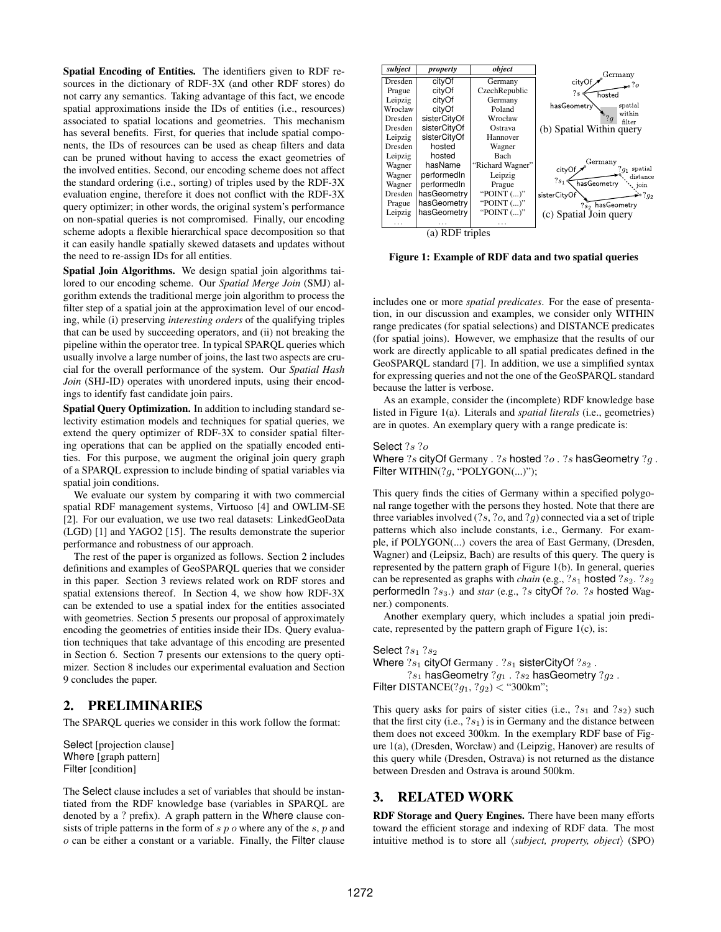Spatial Encoding of Entities. The identifiers given to RDF resources in the dictionary of RDF-3X (and other RDF stores) do not carry any semantics. Taking advantage of this fact, we encode spatial approximations inside the IDs of entities (i.e., resources) associated to spatial locations and geometries. This mechanism has several benefits. First, for queries that include spatial components, the IDs of resources can be used as cheap filters and data can be pruned without having to access the exact geometries of the involved entities. Second, our encoding scheme does not affect the standard ordering (i.e., sorting) of triples used by the RDF-3X evaluation engine, therefore it does not conflict with the RDF-3X query optimizer; in other words, the original system's performance on non-spatial queries is not compromised. Finally, our encoding scheme adopts a flexible hierarchical space decomposition so that it can easily handle spatially skewed datasets and updates without the need to re-assign IDs for all entities.

Spatial Join Algorithms. We design spatial join algorithms tailored to our encoding scheme. Our *Spatial Merge Join* (SMJ) algorithm extends the traditional merge join algorithm to process the filter step of a spatial join at the approximation level of our encoding, while (i) preserving *interesting orders* of the qualifying triples that can be used by succeeding operators, and (ii) not breaking the pipeline within the operator tree. In typical SPARQL queries which usually involve a large number of joins, the last two aspects are crucial for the overall performance of the system. Our *Spatial Hash Join* (SHJ-ID) operates with unordered inputs, using their encodings to identify fast candidate join pairs.

Spatial Query Optimization. In addition to including standard selectivity estimation models and techniques for spatial queries, we extend the query optimizer of RDF-3X to consider spatial filtering operations that can be applied on the spatially encoded entities. For this purpose, we augment the original join query graph of a SPARQL expression to include binding of spatial variables via spatial join conditions.

We evaluate our system by comparing it with two commercial spatial RDF management systems, Virtuoso [4] and OWLIM-SE [2]. For our evaluation, we use two real datasets: LinkedGeoData (LGD) [1] and YAGO2 [15]. The results demonstrate the superior performance and robustness of our approach.

The rest of the paper is organized as follows. Section 2 includes definitions and examples of GeoSPARQL queries that we consider in this paper. Section 3 reviews related work on RDF stores and spatial extensions thereof. In Section 4, we show how RDF-3X can be extended to use a spatial index for the entities associated with geometries. Section 5 presents our proposal of approximately encoding the geometries of entities inside their IDs. Query evaluation techniques that take advantage of this encoding are presented in Section 6. Section 7 presents our extensions to the query optimizer. Section 8 includes our experimental evaluation and Section 9 concludes the paper.

#### 2. PRELIMINARIES

The SPARQL queries we consider in this work follow the format:

Select [projection clause] Where [graph pattern] Filter [condition]

The Select clause includes a set of variables that should be instantiated from the RDF knowledge base (variables in SPARQL are denoted by a ? prefix). A graph pattern in the Where clause consists of triple patterns in the form of  $s$   $p$   $o$  where any of the  $s$ ,  $p$  and  $o$  can be either a constant or a variable. Finally, the Filter clause



Figure 1: Example of RDF data and two spatial queries

includes one or more *spatial predicates*. For the ease of presentation, in our discussion and examples, we consider only WITHIN range predicates (for spatial selections) and DISTANCE predicates (for spatial joins). However, we emphasize that the results of our work are directly applicable to all spatial predicates defined in the GeoSPARQL standard [7]. In addition, we use a simplified syntax for expressing queries and not the one of the GeoSPARQL standard because the latter is verbose.

As an example, consider the (incomplete) RDF knowledge base listed in Figure 1(a). Literals and *spatial literals* (i.e., geometries) are in quotes. An exemplary query with a range predicate is:

#### Select ?s ?o

Where ?s cityOf Germany . ?s hosted ?o. ?s hasGeometry ?g. Filter WITHIN( $?g$ , "POLYGON(...)");

This query finds the cities of Germany within a specified polygonal range together with the persons they hosted. Note that there are three variables involved  $(?s, ?o,$  and  $?g)$  connected via a set of triple patterns which also include constants, i.e., Germany. For example, if POLYGON(...) covers the area of East Germany, (Dresden, Wagner) and (Leipsiz, Bach) are results of this query. The query is represented by the pattern graph of Figure 1(b). In general, queries can be represented as graphs with *chain* (e.g.,  $?s_1$  hosted  $?s_2$ .  $?s_2$ performedIn ?s<sub>3</sub>.) and *star* (e.g., ?s cityOf ?o. ?s hosted Wagner.) components.

Another exemplary query, which includes a spatial join predicate, represented by the pattern graph of Figure 1(c), is:

Select ?s<sub>1</sub> ?s<sub>2</sub> Where  $?s_1$  cityOf Germany .  $?s_1$  sisterCityOf  $?s_2$ .  $?s_1$  has Geometry  $?g_1$ .  $?s_2$  has Geometry  $?g_2$ . Filter DISTANCE $(?g_1, ?g_2) <$  "300km";

This query asks for pairs of sister cities (i.e.,  $2s_1$  and  $2s_2$ ) such that the first city (i.e.,  $?s_1$ ) is in Germany and the distance between them does not exceed 300km. In the exemplary RDF base of Figure 1(a), (Dresden, Worcław) and (Leipzig, Hanover) are results of this query while (Dresden, Ostrava) is not returned as the distance between Dresden and Ostrava is around 500km.

#### 3. RELATED WORK

RDF Storage and Query Engines. There have been many efforts toward the efficient storage and indexing of RDF data. The most intuitive method is to store all *(subject, property, object*) (SPO)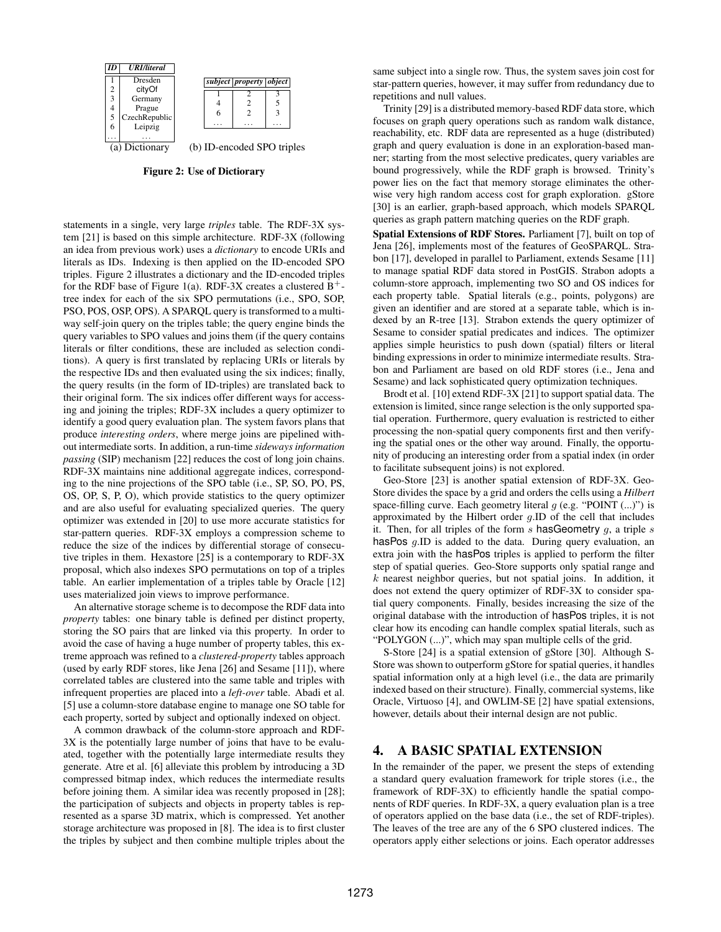

Figure 2: Use of Dictiorary

statements in a single, very large *triples* table. The RDF-3X system [21] is based on this simple architecture. RDF-3X (following an idea from previous work) uses a *dictionary* to encode URIs and literals as IDs. Indexing is then applied on the ID-encoded SPO triples. Figure 2 illustrates a dictionary and the ID-encoded triples for the RDF base of Figure 1(a). RDF-3X creates a clustered  $B^+$ tree index for each of the six SPO permutations (i.e., SPO, SOP, PSO, POS, OSP, OPS). A SPARQL query is transformed to a multiway self-join query on the triples table; the query engine binds the query variables to SPO values and joins them (if the query contains literals or filter conditions, these are included as selection conditions). A query is first translated by replacing URIs or literals by the respective IDs and then evaluated using the six indices; finally, the query results (in the form of ID-triples) are translated back to their original form. The six indices offer different ways for accessing and joining the triples; RDF-3X includes a query optimizer to identify a good query evaluation plan. The system favors plans that produce *interesting orders*, where merge joins are pipelined without intermediate sorts. In addition, a run-time *sideways information passing* (SIP) mechanism [22] reduces the cost of long join chains. RDF-3X maintains nine additional aggregate indices, corresponding to the nine projections of the SPO table (i.e., SP, SO, PO, PS, OS, OP, S, P, O), which provide statistics to the query optimizer and are also useful for evaluating specialized queries. The query optimizer was extended in [20] to use more accurate statistics for star-pattern queries. RDF-3X employs a compression scheme to reduce the size of the indices by differential storage of consecutive triples in them. Hexastore [25] is a contemporary to RDF-3X proposal, which also indexes SPO permutations on top of a triples table. An earlier implementation of a triples table by Oracle [12] uses materialized join views to improve performance.

An alternative storage scheme is to decompose the RDF data into *property* tables: one binary table is defined per distinct property, storing the SO pairs that are linked via this property. In order to avoid the case of having a huge number of property tables, this extreme approach was refined to a *clustered-property* tables approach (used by early RDF stores, like Jena [26] and Sesame [11]), where correlated tables are clustered into the same table and triples with infrequent properties are placed into a *left-over* table. Abadi et al. [5] use a column-store database engine to manage one SO table for each property, sorted by subject and optionally indexed on object.

A common drawback of the column-store approach and RDF-3X is the potentially large number of joins that have to be evaluated, together with the potentially large intermediate results they generate. Atre et al. [6] alleviate this problem by introducing a 3D compressed bitmap index, which reduces the intermediate results before joining them. A similar idea was recently proposed in [28]; the participation of subjects and objects in property tables is represented as a sparse 3D matrix, which is compressed. Yet another storage architecture was proposed in [8]. The idea is to first cluster the triples by subject and then combine multiple triples about the

same subject into a single row. Thus, the system saves join cost for star-pattern queries, however, it may suffer from redundancy due to repetitions and null values.

Trinity [29] is a distributed memory-based RDF data store, which focuses on graph query operations such as random walk distance, reachability, etc. RDF data are represented as a huge (distributed) graph and query evaluation is done in an exploration-based manner; starting from the most selective predicates, query variables are bound progressively, while the RDF graph is browsed. Trinity's power lies on the fact that memory storage eliminates the otherwise very high random access cost for graph exploration. gStore [30] is an earlier, graph-based approach, which models SPARQL queries as graph pattern matching queries on the RDF graph.

Spatial Extensions of RDF Stores. Parliament [7], built on top of Jena [26], implements most of the features of GeoSPARQL. Strabon [17], developed in parallel to Parliament, extends Sesame [11] to manage spatial RDF data stored in PostGIS. Strabon adopts a column-store approach, implementing two SO and OS indices for each property table. Spatial literals (e.g., points, polygons) are given an identifier and are stored at a separate table, which is indexed by an R-tree [13]. Strabon extends the query optimizer of Sesame to consider spatial predicates and indices. The optimizer applies simple heuristics to push down (spatial) filters or literal binding expressions in order to minimize intermediate results. Strabon and Parliament are based on old RDF stores (i.e., Jena and Sesame) and lack sophisticated query optimization techniques.

Brodt et al. [10] extend RDF-3X [21] to support spatial data. The extension is limited, since range selection is the only supported spatial operation. Furthermore, query evaluation is restricted to either processing the non-spatial query components first and then verifying the spatial ones or the other way around. Finally, the opportunity of producing an interesting order from a spatial index (in order to facilitate subsequent joins) is not explored.

Geo-Store [23] is another spatial extension of RDF-3X. Geo-Store divides the space by a grid and orders the cells using a *Hilbert* space-filling curve. Each geometry literal  $g$  (e.g. "POINT  $(...)$ ") is approximated by the Hilbert order g.ID of the cell that includes it. Then, for all triples of the form  $s$  has Geometry  $g$ , a triple  $s$ hasPos  $g$ .ID is added to the data. During query evaluation, an extra join with the hasPos triples is applied to perform the filter step of spatial queries. Geo-Store supports only spatial range and  $k$  nearest neighbor queries, but not spatial joins. In addition, it does not extend the query optimizer of RDF-3X to consider spatial query components. Finally, besides increasing the size of the original database with the introduction of hasPos triples, it is not clear how its encoding can handle complex spatial literals, such as "POLYGON (...)", which may span multiple cells of the grid.

S-Store [24] is a spatial extension of gStore [30]. Although S-Store was shown to outperform gStore for spatial queries, it handles spatial information only at a high level (i.e., the data are primarily indexed based on their structure). Finally, commercial systems, like Oracle, Virtuoso [4], and OWLIM-SE [2] have spatial extensions, however, details about their internal design are not public.

### 4. A BASIC SPATIAL EXTENSION

In the remainder of the paper, we present the steps of extending a standard query evaluation framework for triple stores (i.e., the framework of RDF-3X) to efficiently handle the spatial components of RDF queries. In RDF-3X, a query evaluation plan is a tree of operators applied on the base data (i.e., the set of RDF-triples). The leaves of the tree are any of the 6 SPO clustered indices. The operators apply either selections or joins. Each operator addresses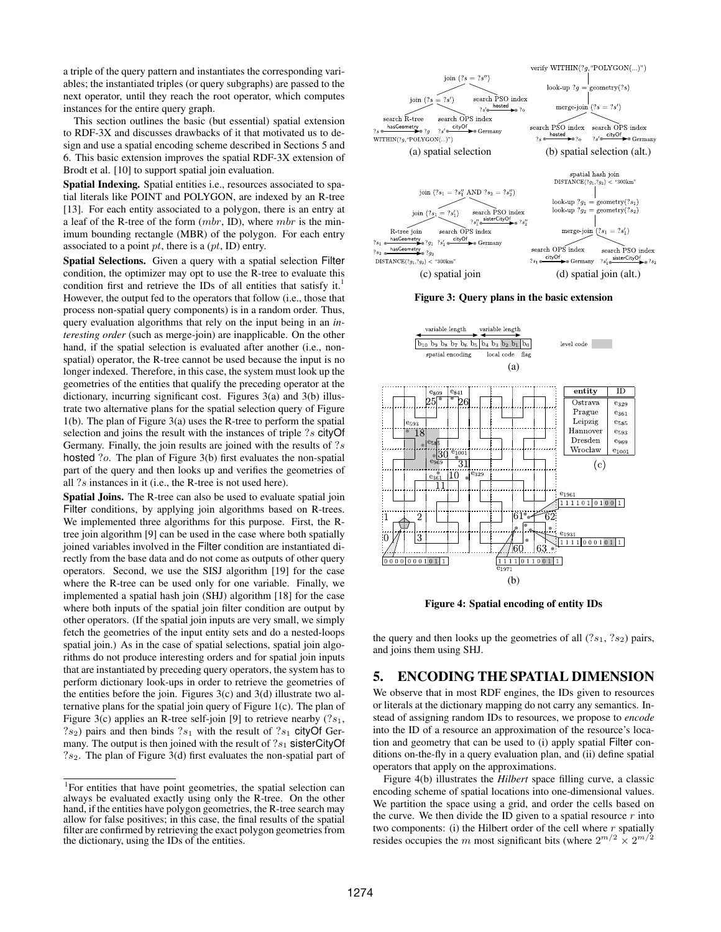a triple of the query pattern and instantiates the corresponding variables; the instantiated triples (or query subgraphs) are passed to the next operator, until they reach the root operator, which computes instances for the entire query graph.

This section outlines the basic (but essential) spatial extension to RDF-3X and discusses drawbacks of it that motivated us to design and use a spatial encoding scheme described in Sections 5 and 6. This basic extension improves the spatial RDF-3X extension of Brodt et al. [10] to support spatial join evaluation.

Spatial Indexing. Spatial entities i.e., resources associated to spatial literals like POINT and POLYGON, are indexed by an R-tree [13]. For each entity associated to a polygon, there is an entry at a leaf of the R-tree of the form  $(mbr, ID)$ , where mbr is the minimum bounding rectangle (MBR) of the polygon. For each entry associated to a point  $pt$ , there is a  $(pt, ID)$  entry.

Spatial Selections. Given a query with a spatial selection Filter condition, the optimizer may opt to use the R-tree to evaluate this condition first and retrieve the IDs of all entities that satisfy it.<sup>1</sup> However, the output fed to the operators that follow (i.e., those that process non-spatial query components) is in a random order. Thus, query evaluation algorithms that rely on the input being in an *interesting order* (such as merge-join) are inapplicable. On the other hand, if the spatial selection is evaluated after another (i.e., nonspatial) operator, the R-tree cannot be used because the input is no longer indexed. Therefore, in this case, the system must look up the geometries of the entities that qualify the preceding operator at the dictionary, incurring significant cost. Figures 3(a) and 3(b) illustrate two alternative plans for the spatial selection query of Figure 1(b). The plan of Figure 3(a) uses the R-tree to perform the spatial selection and joins the result with the instances of triple ?s cityOf Germany. Finally, the join results are joined with the results of ?s hosted ?o. The plan of Figure 3(b) first evaluates the non-spatial part of the query and then looks up and verifies the geometries of all ?s instances in it (i.e., the R-tree is not used here).

Spatial Joins. The R-tree can also be used to evaluate spatial join Filter conditions, by applying join algorithms based on R-trees. We implemented three algorithms for this purpose. First, the Rtree join algorithm [9] can be used in the case where both spatially joined variables involved in the Filter condition are instantiated directly from the base data and do not come as outputs of other query operators. Second, we use the SISJ algorithm [19] for the case where the R-tree can be used only for one variable. Finally, we implemented a spatial hash join (SHJ) algorithm [18] for the case where both inputs of the spatial join filter condition are output by other operators. (If the spatial join inputs are very small, we simply fetch the geometries of the input entity sets and do a nested-loops spatial join.) As in the case of spatial selections, spatial join algorithms do not produce interesting orders and for spatial join inputs that are instantiated by preceding query operators, the system has to perform dictionary look-ups in order to retrieve the geometries of the entities before the join. Figures  $3(c)$  and  $3(d)$  illustrate two alternative plans for the spatial join query of Figure 1(c). The plan of Figure 3(c) applies an R-tree self-join [9] to retrieve nearby  $(?s<sub>1</sub>,$  $?s<sub>2</sub>$ ) pairs and then binds  $?s<sub>1</sub>$  with the result of  $?s<sub>1</sub>$  cityOf Germany. The output is then joined with the result of  $?s<sub>1</sub>$  sisterCityOf  $?s<sub>2</sub>$ . The plan of Figure 3(d) first evaluates the non-spatial part of



Figure 3: Query plans in the basic extension



Figure 4: Spatial encoding of entity IDs

the query and then looks up the geometries of all  $(2s_1, 2s_2)$  pairs, and joins them using SHJ.

#### 5. ENCODING THE SPATIAL DIMENSION

We observe that in most RDF engines, the IDs given to resources or literals at the dictionary mapping do not carry any semantics. Instead of assigning random IDs to resources, we propose to *encode* into the ID of a resource an approximation of the resource's location and geometry that can be used to (i) apply spatial Filter conditions on-the-fly in a query evaluation plan, and (ii) define spatial operators that apply on the approximations.

Figure 4(b) illustrates the *Hilbert* space filling curve, a classic encoding scheme of spatial locations into one-dimensional values. We partition the space using a grid, and order the cells based on the curve. We then divide the ID given to a spatial resource  $r$  into two components: (i) the Hilbert order of the cell where  $r$  spatially resides occupies the m most significant bits (where  $2^{m/2} \times 2^{m/2}$ 

<sup>&</sup>lt;sup>1</sup>For entities that have point geometries, the spatial selection can always be evaluated exactly using only the R-tree. On the other hand, if the entities have polygon geometries, the R-tree search may allow for false positives; in this case, the final results of the spatial filter are confirmed by retrieving the exact polygon geometries from the dictionary, using the IDs of the entities.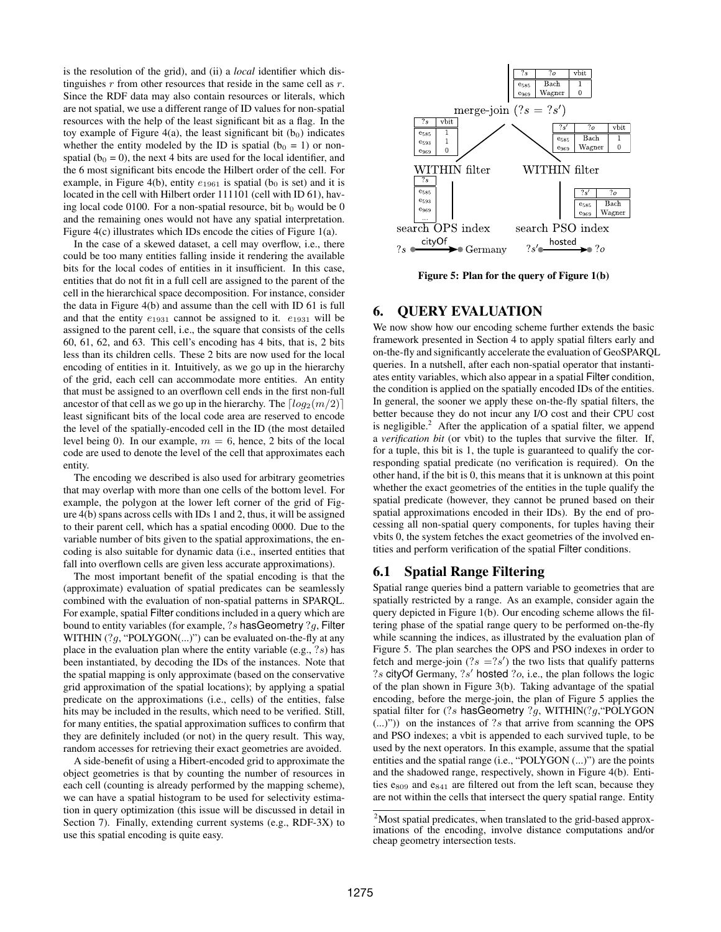is the resolution of the grid), and (ii) a *local* identifier which distinguishes  $r$  from other resources that reside in the same cell as  $r$ . Since the RDF data may also contain resources or literals, which are not spatial, we use a different range of ID values for non-spatial resources with the help of the least significant bit as a flag. In the toy example of Figure 4(a), the least significant bit  $(b<sub>0</sub>)$  indicates whether the entity modeled by the ID is spatial ( $b_0 = 1$ ) or nonspatial ( $b_0 = 0$ ), the next 4 bits are used for the local identifier, and the 6 most significant bits encode the Hilbert order of the cell. For example, in Figure 4(b), entity  $e_{1961}$  is spatial (b<sub>0</sub> is set) and it is located in the cell with Hilbert order 111101 (cell with ID 61), having local code 0100. For a non-spatial resource, bit  $b_0$  would be 0 and the remaining ones would not have any spatial interpretation. Figure 4(c) illustrates which IDs encode the cities of Figure 1(a).

In the case of a skewed dataset, a cell may overflow, i.e., there could be too many entities falling inside it rendering the available bits for the local codes of entities in it insufficient. In this case, entities that do not fit in a full cell are assigned to the parent of the cell in the hierarchical space decomposition. For instance, consider the data in Figure 4(b) and assume than the cell with ID 61 is full and that the entity  $e_{1931}$  cannot be assigned to it.  $e_{1931}$  will be assigned to the parent cell, i.e., the square that consists of the cells 60, 61, 62, and 63. This cell's encoding has 4 bits, that is, 2 bits less than its children cells. These 2 bits are now used for the local encoding of entities in it. Intuitively, as we go up in the hierarchy of the grid, each cell can accommodate more entities. An entity that must be assigned to an overflown cell ends in the first non-full ancestor of that cell as we go up in the hierarchy. The  $\lceil log_2(m/2) \rceil$ least significant bits of the local code area are reserved to encode the level of the spatially-encoded cell in the ID (the most detailed level being 0). In our example,  $m = 6$ , hence, 2 bits of the local code are used to denote the level of the cell that approximates each entity.

The encoding we described is also used for arbitrary geometries that may overlap with more than one cells of the bottom level. For example, the polygon at the lower left corner of the grid of Figure 4(b) spans across cells with IDs 1 and 2, thus, it will be assigned to their parent cell, which has a spatial encoding 0000. Due to the variable number of bits given to the spatial approximations, the encoding is also suitable for dynamic data (i.e., inserted entities that fall into overflown cells are given less accurate approximations).

The most important benefit of the spatial encoding is that the (approximate) evaluation of spatial predicates can be seamlessly combined with the evaluation of non-spatial patterns in SPARQL. For example, spatial Filter conditions included in a query which are bound to entity variables (for example,  $?s$  has Geometry  $?g$ , Filter WITHIN  $(?g, "POLYGON(...)"')$  can be evaluated on-the-fly at any place in the evaluation plan where the entity variable (e.g.,  $?s$ ) has been instantiated, by decoding the IDs of the instances. Note that the spatial mapping is only approximate (based on the conservative grid approximation of the spatial locations); by applying a spatial predicate on the approximations (i.e., cells) of the entities, false hits may be included in the results, which need to be verified. Still, for many entities, the spatial approximation suffices to confirm that they are definitely included (or not) in the query result. This way, random accesses for retrieving their exact geometries are avoided.

A side-benefit of using a Hibert-encoded grid to approximate the object geometries is that by counting the number of resources in each cell (counting is already performed by the mapping scheme), we can have a spatial histogram to be used for selectivity estimation in query optimization (this issue will be discussed in detail in Section 7). Finally, extending current systems (e.g., RDF-3X) to use this spatial encoding is quite easy.



Figure 5: Plan for the query of Figure 1(b)

#### 6. QUERY EVALUATION

We now show how our encoding scheme further extends the basic framework presented in Section 4 to apply spatial filters early and on-the-fly and significantly accelerate the evaluation of GeoSPARQL queries. In a nutshell, after each non-spatial operator that instantiates entity variables, which also appear in a spatial Filter condition, the condition is applied on the spatially encoded IDs of the entities. In general, the sooner we apply these on-the-fly spatial filters, the better because they do not incur any I/O cost and their CPU cost is negligible.<sup>2</sup> After the application of a spatial filter, we append a *verification bit* (or vbit) to the tuples that survive the filter. If, for a tuple, this bit is 1, the tuple is guaranteed to qualify the corresponding spatial predicate (no verification is required). On the other hand, if the bit is 0, this means that it is unknown at this point whether the exact geometries of the entities in the tuple qualify the spatial predicate (however, they cannot be pruned based on their spatial approximations encoded in their IDs). By the end of processing all non-spatial query components, for tuples having their vbits 0, the system fetches the exact geometries of the involved entities and perform verification of the spatial Filter conditions.

#### 6.1 Spatial Range Filtering

Spatial range queries bind a pattern variable to geometries that are spatially restricted by a range. As an example, consider again the query depicted in Figure 1(b). Our encoding scheme allows the filtering phase of the spatial range query to be performed on-the-fly while scanning the indices, as illustrated by the evaluation plan of Figure 5. The plan searches the OPS and PSO indexes in order to fetch and merge-join ( $?s = ?s'$ ) the two lists that qualify patterns ?s cityOf Germany, ?s' hosted ?o, i.e., the plan follows the logic of the plan shown in Figure 3(b). Taking advantage of the spatial encoding, before the merge-join, the plan of Figure 5 applies the spatial filter for  $(?s$  has Geometry  $?g$ , WITHIN( $?g$ , "POLYGON (...)")) on the instances of ?s that arrive from scanning the OPS and PSO indexes; a vbit is appended to each survived tuple, to be used by the next operators. In this example, assume that the spatial entities and the spatial range (i.e., "POLYGON (...)") are the points and the shadowed range, respectively, shown in Figure 4(b). Entities  $e_{809}$  and  $e_{841}$  are filtered out from the left scan, because they are not within the cells that intersect the query spatial range. Entity

<sup>&</sup>lt;sup>2</sup>Most spatial predicates, when translated to the grid-based approximations of the encoding, involve distance computations and/or cheap geometry intersection tests.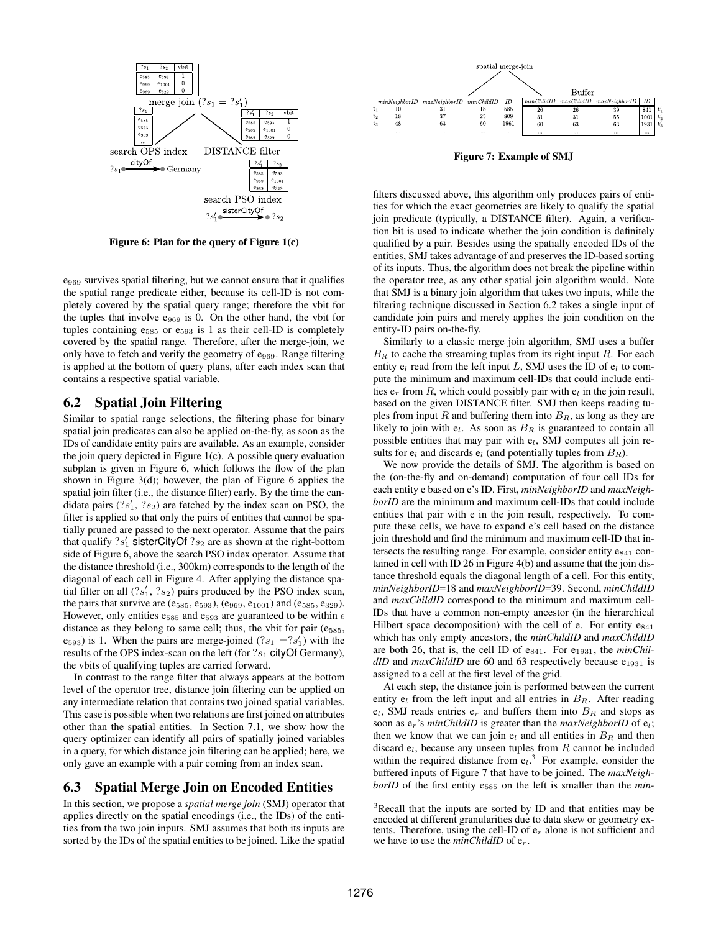

Figure 6: Plan for the query of Figure 1(c)

e<sup>969</sup> survives spatial filtering, but we cannot ensure that it qualifies the spatial range predicate either, because its cell-ID is not completely covered by the spatial query range; therefore the vbit for the tuples that involve  $e_{969}$  is 0. On the other hand, the vbit for tuples containing e<sup>585</sup> or e<sup>593</sup> is 1 as their cell-ID is completely covered by the spatial range. Therefore, after the merge-join, we only have to fetch and verify the geometry of e<sub>969</sub>. Range filtering is applied at the bottom of query plans, after each index scan that contains a respective spatial variable.

#### 6.2 Spatial Join Filtering

Similar to spatial range selections, the filtering phase for binary spatial join predicates can also be applied on-the-fly, as soon as the IDs of candidate entity pairs are available. As an example, consider the join query depicted in Figure 1(c). A possible query evaluation subplan is given in Figure 6, which follows the flow of the plan shown in Figure 3(d); however, the plan of Figure 6 applies the spatial join filter (i.e., the distance filter) early. By the time the candidate pairs  $(?s'_1, ?s_2)$  are fetched by the index scan on PSO, the filter is applied so that only the pairs of entities that cannot be spatially pruned are passed to the next operator. Assume that the pairs that qualify  $?s'_1$  sisterCityOf  $?s_2$  are as shown at the right-bottom side of Figure 6, above the search PSO index operator. Assume that the distance threshold (i.e., 300km) corresponds to the length of the diagonal of each cell in Figure 4. After applying the distance spatial filter on all  $(?s'_1, ?s_2)$  pairs produced by the PSO index scan, the pairs that survive are (e<sub>585</sub>, e<sub>593</sub>), (e<sub>969</sub>, e<sub>1001</sub>) and (e<sub>585</sub>, e<sub>329</sub>). However, only entities e<sub>585</sub> and e<sub>593</sub> are guaranteed to be within  $\epsilon$ distance as they belong to same cell; thus, the vbit for pair (e<sub>585</sub>,  $e_{593}$ ) is 1. When the pairs are merge-joined  $(?s_1 = ?s'_1)$  with the results of the OPS index-scan on the left (for  $?s_1$  cityOf Germany), the vbits of qualifying tuples are carried forward.

In contrast to the range filter that always appears at the bottom level of the operator tree, distance join filtering can be applied on any intermediate relation that contains two joined spatial variables. This case is possible when two relations are first joined on attributes other than the spatial entities. In Section 7.1, we show how the query optimizer can identify all pairs of spatially joined variables in a query, for which distance join filtering can be applied; here, we only gave an example with a pair coming from an index scan.

#### 6.3 Spatial Merge Join on Encoded Entities

In this section, we propose a *spatial merge join* (SMJ) operator that applies directly on the spatial encodings (i.e., the IDs) of the entities from the two join inputs. SMJ assumes that both its inputs are sorted by the IDs of the spatial entities to be joined. Like the spatial



Figure 7: Example of SMJ

filters discussed above, this algorithm only produces pairs of entities for which the exact geometries are likely to qualify the spatial join predicate (typically, a DISTANCE filter). Again, a verification bit is used to indicate whether the join condition is definitely qualified by a pair. Besides using the spatially encoded IDs of the entities, SMJ takes advantage of and preserves the ID-based sorting of its inputs. Thus, the algorithm does not break the pipeline within the operator tree, as any other spatial join algorithm would. Note that SMJ is a binary join algorithm that takes two inputs, while the filtering technique discussed in Section 6.2 takes a single input of candidate join pairs and merely applies the join condition on the entity-ID pairs on-the-fly.

Similarly to a classic merge join algorithm, SMJ uses a buffer  $B_R$  to cache the streaming tuples from its right input  $R$ . For each entity  $e_l$  read from the left input L, SMJ uses the ID of  $e_l$  to compute the minimum and maximum cell-IDs that could include entities  $e_r$  from R, which could possibly pair with  $e_l$  in the join result, based on the given DISTANCE filter. SMJ then keeps reading tuples from input R and buffering them into  $B_R$ , as long as they are likely to join with  $e_l$ . As soon as  $B_R$  is guaranteed to contain all possible entities that may pair with  $e_l$ , SMJ computes all join results for  $e_l$  and discards  $e_l$  (and potentially tuples from  $B_R$ ).

We now provide the details of SMJ. The algorithm is based on the (on-the-fly and on-demand) computation of four cell IDs for each entity e based on e's ID. First, *minNeighborID* and *maxNeighborID* are the minimum and maximum cell-IDs that could include entities that pair with e in the join result, respectively. To compute these cells, we have to expand e's cell based on the distance join threshold and find the minimum and maximum cell-ID that intersects the resulting range. For example, consider entity  $e_{841}$  contained in cell with ID 26 in Figure 4(b) and assume that the join distance threshold equals the diagonal length of a cell. For this entity, *minNeighborID*=18 and *maxNeighborID*=39. Second, *minChildID* and *maxChildID* correspond to the minimum and maximum cell-IDs that have a common non-empty ancestor (in the hierarchical Hilbert space decomposition) with the cell of e. For entity  $e_{841}$ which has only empty ancestors, the *minChildID* and *maxChildID* are both 26, that is, the cell ID of  $e_{841}$ . For  $e_{1931}$ , the *minChildID* and *maxChildID* are 60 and 63 respectively because  $e_{1931}$  is assigned to a cell at the first level of the grid.

At each step, the distance join is performed between the current entity  $e_l$  from the left input and all entries in  $B_R$ . After reading  $e_l$ , SMJ reads entries  $e_r$  and buffers them into  $B_R$  and stops as soon as  $e_r$ 's *minChildID* is greater than the *maxNeighborID* of  $e_l$ ; then we know that we can join  $e_l$  and all entities in  $B_R$  and then discard  $e_l$ , because any unseen tuples from R cannot be included within the required distance from  $e_l$ .<sup>3</sup> For example, consider the buffered inputs of Figure 7 that have to be joined. The *maxNeighborID* of the first entity e<sup>585</sup> on the left is smaller than the *min-*

<sup>3</sup>Recall that the inputs are sorted by ID and that entities may be encoded at different granularities due to data skew or geometry extents. Therefore, using the cell-ID of  $e_r$  alone is not sufficient and we have to use the *minChildID* of er.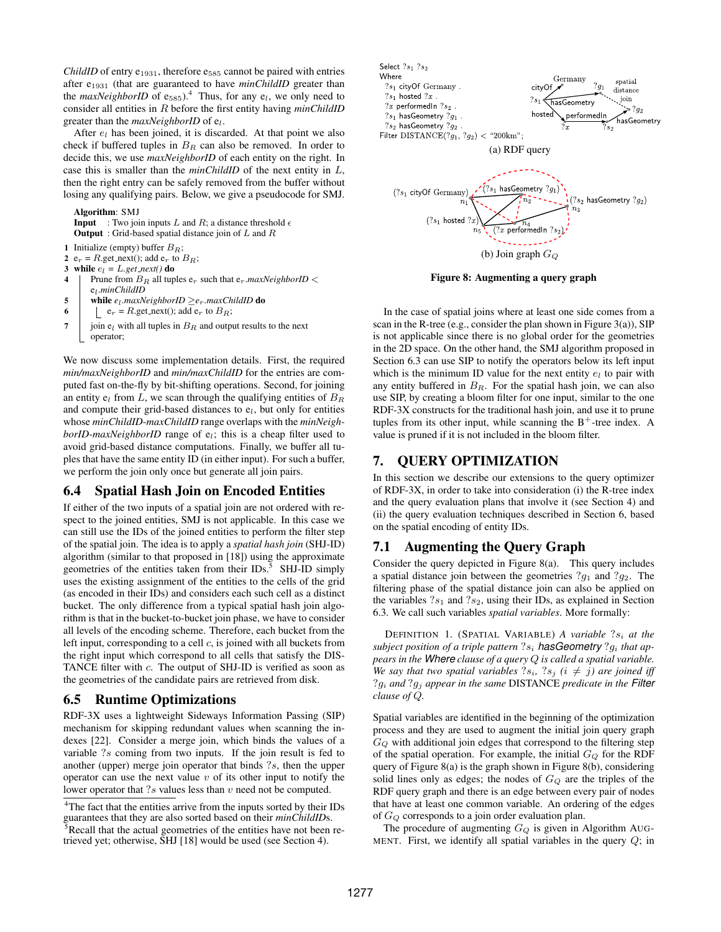*ChildID* of entry  $e_{1931}$ , therefore  $e_{585}$  cannot be paired with entries after e<sub>1931</sub> (that are guaranteed to have *minChildID* greater than the  $maxNeighbourID$  of  $e_{585}$ <sup>4</sup>. Thus, for any  $e_l$ , we only need to consider all entities in R before the first entity having *minChildID* greater than the *maxNeighborID* of el.

After  $e_l$  has been joined, it is discarded. At that point we also check if buffered tuples in  $B_R$  can also be removed. In order to decide this, we use *maxNeighborID* of each entity on the right. In case this is smaller than the *minChildID* of the next entity in L, then the right entry can be safely removed from the buffer without losing any qualifying pairs. Below, we give a pseudocode for SMJ.

Algorithm: SMJ

**Input** : Two join inputs L and R; a distance threshold  $\epsilon$ **Output** : Grid-based spatial distance join of  $L$  and  $R$ 

1 Initialize (empty) buffer  $B_R$ ;

2  $e_r = R.get.next();$  add  $e_r$  to  $B_R$ ;<br>3 while  $e_l = L.get.next()$  do

- 3 while  $e_l = L.get.next()$  do<br>4 | Prune from  $B_R$  all tun
- Prune from  $B_R$  all tuples  $e_r$  such that  $e_r$ *.maxNeighborID* < e<sub>l</sub>.minChildID
- 5 while  $e_l$ *.maxNeighborID*  $\geq e_r$ *.maxChildID* do

6 
$$
\Big|
$$
  $e_r = R.get.next();$  add  $e_r$  to  $B_R$ ;

7 join  $e_l$  with all tuples in  $B_R$  and output results to the next operator;

We now discuss some implementation details. First, the required *min/maxNeighborID* and *min/maxChildID* for the entries are computed fast on-the-fly by bit-shifting operations. Second, for joining an entity  $e_l$  from L, we scan through the qualifying entities of  $B_R$ and compute their grid-based distances to  $e_l$ , but only for entities whose *minChildID*-*maxChildID* range overlaps with the *minNeighborID-maxNeighborID* range of  $e_i$ ; this is a cheap filter used to avoid grid-based distance computations. Finally, we buffer all tuples that have the same entity ID (in either input). For such a buffer, we perform the join only once but generate all join pairs.

#### 6.4 Spatial Hash Join on Encoded Entities

If either of the two inputs of a spatial join are not ordered with respect to the joined entities, SMJ is not applicable. In this case we can still use the IDs of the joined entities to perform the filter step of the spatial join. The idea is to apply a *spatial hash join* (SHJ-ID) algorithm (similar to that proposed in [18]) using the approximate geometries of the entities taken from their  $\text{IDs}$ .<sup>5</sup> SHJ-ID simply uses the existing assignment of the entities to the cells of the grid (as encoded in their IDs) and considers each such cell as a distinct bucket. The only difference from a typical spatial hash join algorithm is that in the bucket-to-bucket join phase, we have to consider all levels of the encoding scheme. Therefore, each bucket from the left input, corresponding to a cell c, is joined with all buckets from the right input which correspond to all cells that satisfy the DIS-TANCE filter with  $c$ . The output of SHJ-ID is verified as soon as the geometries of the candidate pairs are retrieved from disk.

#### 6.5 Runtime Optimizations

RDF-3X uses a lightweight Sideways Information Passing (SIP) mechanism for skipping redundant values when scanning the indexes [22]. Consider a merge join, which binds the values of a variable ?s coming from two inputs. If the join result is fed to another (upper) merge join operator that binds ?s, then the upper operator can use the next value  $v$  of its other input to notify the lower operator that  $?s$  values less than  $v$  need not be computed.



Figure 8: Augmenting a query graph

In the case of spatial joins where at least one side comes from a scan in the R-tree (e.g., consider the plan shown in Figure 3(a)), SIP is not applicable since there is no global order for the geometries in the 2D space. On the other hand, the SMJ algorithm proposed in Section 6.3 can use SIP to notify the operators below its left input which is the minimum ID value for the next entity  $e_l$  to pair with any entity buffered in  $B_R$ . For the spatial hash join, we can also use SIP, by creating a bloom filter for one input, similar to the one RDF-3X constructs for the traditional hash join, and use it to prune tuples from its other input, while scanning the  $B^+$ -tree index. A value is pruned if it is not included in the bloom filter.

#### 7. QUERY OPTIMIZATION

In this section we describe our extensions to the query optimizer of RDF-3X, in order to take into consideration (i) the R-tree index and the query evaluation plans that involve it (see Section 4) and (ii) the query evaluation techniques described in Section 6, based on the spatial encoding of entity IDs.

#### 7.1 Augmenting the Query Graph

Consider the query depicted in Figure 8(a). This query includes a spatial distance join between the geometries  $?g_1$  and  $?g_2$ . The filtering phase of the spatial distance join can also be applied on the variables  $?s_1$  and  $?s_2$ , using their IDs, as explained in Section 6.3. We call such variables *spatial variables*. More formally:

DEFINITION 1. (SPATIAL VARIABLE) *A variable* ?s<sub>i</sub> at the *subject position of a triple pattern* ?s<sup>i</sup> *hasGeometry* ?g<sup>i</sup> *that appears in the Where clause of a query* Q *is called a spatial variable. We say that two spatial variables*  $?s_i$ ,  $?s_j$  *(i*  $\neq$  *j) are joined iff* ?g<sup>i</sup> *and* ?g<sup>j</sup> *appear in the same* DISTANCE *predicate in the Filter clause of* Q*.*

Spatial variables are identified in the beginning of the optimization process and they are used to augment the initial join query graph  $G_Q$  with additional join edges that correspond to the filtering step of the spatial operation. For example, the initial  $G_Q$  for the RDF query of Figure 8(a) is the graph shown in Figure 8(b), considering solid lines only as edges; the nodes of  $G<sub>O</sub>$  are the triples of the RDF query graph and there is an edge between every pair of nodes that have at least one common variable. An ordering of the edges of  $G_Q$  corresponds to a join order evaluation plan.

The procedure of augmenting  $G_Q$  is given in Algorithm AUG-MENT. First, we identify all spatial variables in the query  $Q$ ; in

<sup>&</sup>lt;sup>4</sup>The fact that the entities arrive from the inputs sorted by their IDs guarantees that they are also sorted based on their *minChildID*s.  $5$ Recall that the actual geometries of the entities have not been retrieved yet; otherwise, SHJ [18] would be used (see Section 4).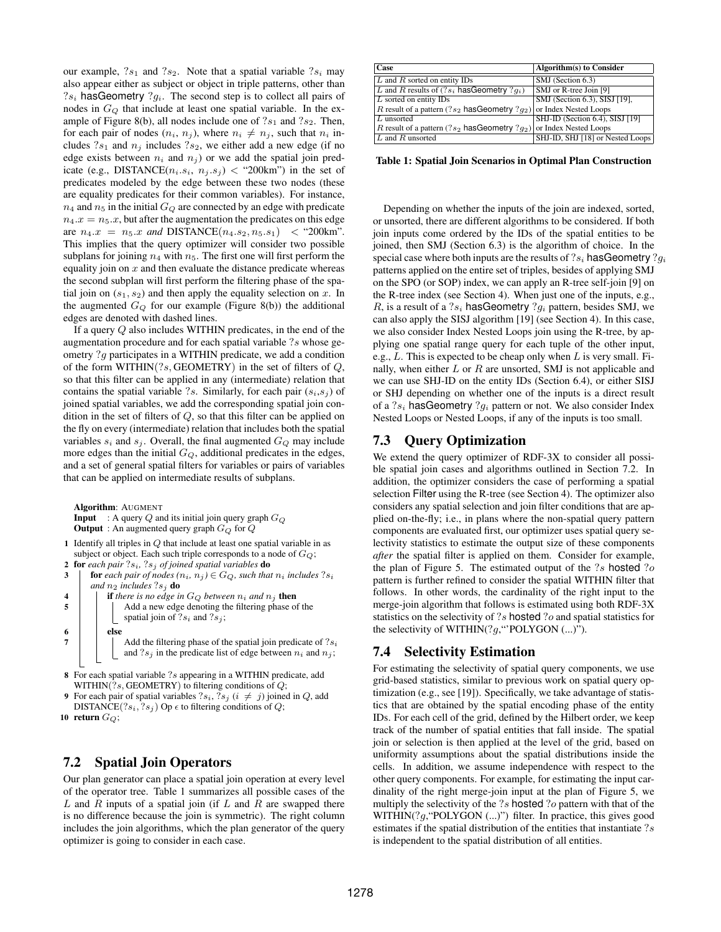our example,  $?s_1$  and  $?s_2$ . Note that a spatial variable  $?s_i$  may also appear either as subject or object in triple patterns, other than  $?s_i$  hasGeometry  $?g_i$ . The second step is to collect all pairs of nodes in  $G_Q$  that include at least one spatial variable. In the example of Figure 8(b), all nodes include one of  $?s_1$  and  $?s_2$ . Then, for each pair of nodes  $(n_i, n_j)$ , where  $n_i \neq n_j$ , such that  $n_i$  includes  $?s_1$  and  $n_i$  includes  $?s_2$ , we either add a new edge (if no edge exists between  $n_i$  and  $n_j$ ) or we add the spatial join predicate (e.g., DISTANCE( $n_i$ . $s_i$ ,  $n_j$ . $s_j$ ) < "200km") in the set of predicates modeled by the edge between these two nodes (these are equality predicates for their common variables). For instance,  $n_4$  and  $n_5$  in the initial  $G_Q$  are connected by an edge with predicate  $n_4.x = n_5.x$ , but after the augmentation the predicates on this edge are  $n_4.x = n_5.x$  *and* DISTANCE( $n_4.s_2, n_5.s_1$ ) < "200km". This implies that the query optimizer will consider two possible subplans for joining  $n_4$  with  $n_5$ . The first one will first perform the equality join on  $x$  and then evaluate the distance predicate whereas the second subplan will first perform the filtering phase of the spatial join on  $(s_1, s_2)$  and then apply the equality selection on x. In the augmented  $G_Q$  for our example (Figure 8(b)) the additional edges are denoted with dashed lines.

If a query Q also includes WITHIN predicates, in the end of the augmentation procedure and for each spatial variable ?s whose geometry ?g participates in a WITHIN predicate, we add a condition of the form WITHIN(?s, GEOMETRY) in the set of filters of  $Q$ , so that this filter can be applied in any (intermediate) relation that contains the spatial variable ?s. Similarly, for each pair  $(s_i,s_j)$  of joined spatial variables, we add the corresponding spatial join condition in the set of filters of Q, so that this filter can be applied on the fly on every (intermediate) relation that includes both the spatial variables  $s_i$  and  $s_j$ . Overall, the final augmented  $G_Q$  may include more edges than the initial  $G_Q$ , additional predicates in the edges, and a set of general spatial filters for variables or pairs of variables that can be applied on intermediate results of subplans.

Algorithm: AUGMENT

**Input** : A query Q and its initial join query graph  $G_Q$ **Output** : An augmented query graph  $G_Q$  for  $Q$ 

- 1 Identify all triples in  $Q$  that include at least one spatial variable in as subject or object. Each such triple corresponds to a node of  $G_Q$ ;
- 2 for *each pair*  $?s_i$ ,  $?s_j$  *of joined spatial variables* **do**<br>3 for *each pair of nodes*  $(n_i, n_i) \in G_O$ , such tha

for each pair of nodes  $(n_i, n_j) \in G_Q$ , such that  $n_i$  includes  $?s_i$ *and*  $n_2$  *includes*  $?s_j$  **do** 



- 8 For each spatial variable ?s appearing in a WITHIN predicate, add WITHIN( $?s$ , GEOMETRY) to filtering conditions of  $Q$ ;
- For each pair of spatial variables  $?s_i, ?s_j$  ( $i \neq j$ ) joined in Q, add DISTANCE( $?s_i$ ,  $?s_j$ ) Op  $\epsilon$  to filtering conditions of  $Q$ ;
- 10 return  $G_Q$ ;

## 7.2 Spatial Join Operators

Our plan generator can place a spatial join operation at every level of the operator tree. Table 1 summarizes all possible cases of the  $L$  and  $R$  inputs of a spatial join (if  $L$  and  $R$  are swapped there is no difference because the join is symmetric). The right column includes the join algorithms, which the plan generator of the query optimizer is going to consider in each case.

| Case                                                                       | $Algorithms($ to Consider        |
|----------------------------------------------------------------------------|----------------------------------|
| $L$ and $R$ sorted on entity IDs                                           | SMJ (Section 6.3)                |
| L and R results of $(?s_i$ has Geometry $?g_i)$                            | SMJ or R-tree Join [9]           |
| $L$ sorted on entity IDs                                                   | SMJ (Section 6.3), SISJ [19],    |
| R result of a pattern ( $2s_2$ has Geometry $2g_2$ ) or Index Nested Loops |                                  |
| L unsorted                                                                 | SHJ-ID (Section 6.4), SISJ [19]  |
| R result of a pattern ( $2s_2$ has Geometry $2g_2$ ) or Index Nested Loops |                                  |
| $L$ and $R$ unsorted                                                       | SHJ-ID, SHJ [18] or Nested Loops |

Table 1: Spatial Join Scenarios in Optimal Plan Construction

Depending on whether the inputs of the join are indexed, sorted, or unsorted, there are different algorithms to be considered. If both join inputs come ordered by the IDs of the spatial entities to be joined, then SMJ (Section 6.3) is the algorithm of choice. In the special case where both inputs are the results of  $2s_i$  has Geometry  $2q_i$ patterns applied on the entire set of triples, besides of applying SMJ on the SPO (or SOP) index, we can apply an R-tree self-join [9] on the R-tree index (see Section 4). When just one of the inputs, e.g., R, is a result of a  $2s_i$  has Geometry  $2q_i$  pattern, besides SMJ, we can also apply the SISJ algorithm [19] (see Section 4). In this case, we also consider Index Nested Loops join using the R-tree, by applying one spatial range query for each tuple of the other input, e.g.,  $L$ . This is expected to be cheap only when  $L$  is very small. Finally, when either  $L$  or  $R$  are unsorted, SMJ is not applicable and we can use SHJ-ID on the entity IDs (Section 6.4), or either SISJ or SHJ depending on whether one of the inputs is a direct result of a  $2s_i$  has Geometry  $2g_i$  pattern or not. We also consider Index Nested Loops or Nested Loops, if any of the inputs is too small.

## 7.3 Query Optimization

We extend the query optimizer of RDF-3X to consider all possible spatial join cases and algorithms outlined in Section 7.2. In addition, the optimizer considers the case of performing a spatial selection Filter using the R-tree (see Section 4). The optimizer also considers any spatial selection and join filter conditions that are applied on-the-fly; i.e., in plans where the non-spatial query pattern components are evaluated first, our optimizer uses spatial query selectivity statistics to estimate the output size of these components *after* the spatial filter is applied on them. Consider for example, the plan of Figure 5. The estimated output of the  $?s$  hosted  $?o$ pattern is further refined to consider the spatial WITHIN filter that follows. In other words, the cardinality of the right input to the merge-join algorithm that follows is estimated using both RDF-3X statistics on the selectivity of ?s hosted ?o and spatial statistics for the selectivity of WITHIN( $?g$ , "POLYGON  $(...)$ ").

#### 7.4 Selectivity Estimation

For estimating the selectivity of spatial query components, we use grid-based statistics, similar to previous work on spatial query optimization (e.g., see [19]). Specifically, we take advantage of statistics that are obtained by the spatial encoding phase of the entity IDs. For each cell of the grid, defined by the Hilbert order, we keep track of the number of spatial entities that fall inside. The spatial join or selection is then applied at the level of the grid, based on uniformity assumptions about the spatial distributions inside the cells. In addition, we assume independence with respect to the other query components. For example, for estimating the input cardinality of the right merge-join input at the plan of Figure 5, we multiply the selectivity of the ?s hosted ?o pattern with that of the WITHIN( $?g$ , "POLYGON  $(...)$ ") filter. In practice, this gives good estimates if the spatial distribution of the entities that instantiate ?s is independent to the spatial distribution of all entities.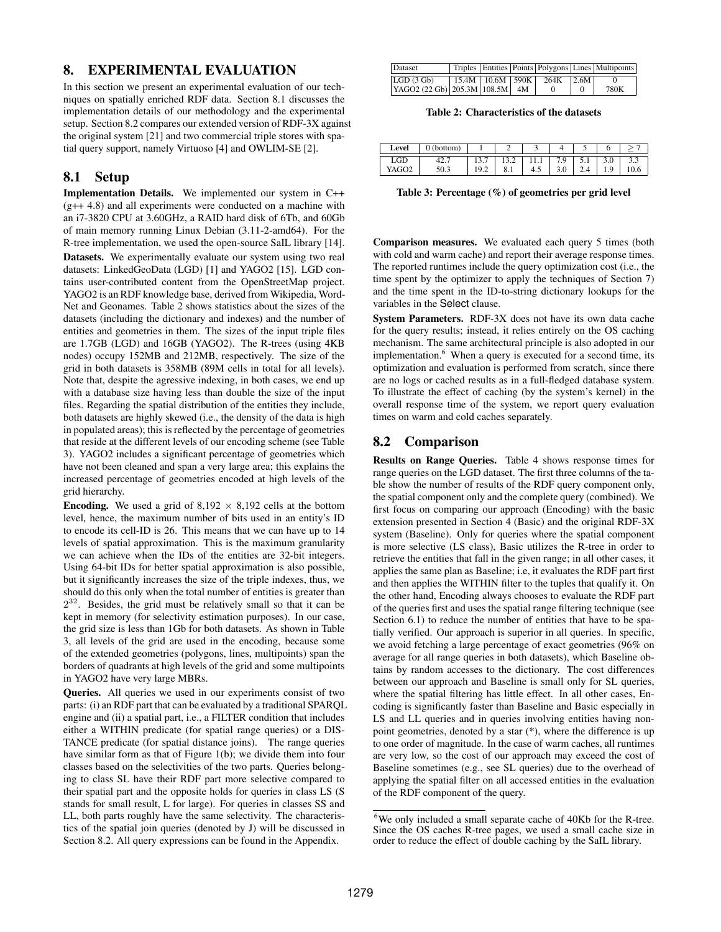## 8. EXPERIMENTAL EVALUATION

In this section we present an experimental evaluation of our techniques on spatially enriched RDF data. Section 8.1 discusses the implementation details of our methodology and the experimental setup. Section 8.2 compares our extended version of RDF-3X against the original system [21] and two commercial triple stores with spatial query support, namely Virtuoso [4] and OWLIM-SE [2].

## 8.1 Setup

Implementation Details. We implemented our system in C++ (g++ 4.8) and all experiments were conducted on a machine with an i7-3820 CPU at 3.60GHz, a RAID hard disk of 6Tb, and 60Gb of main memory running Linux Debian (3.11-2-amd64). For the R-tree implementation, we used the open-source SaIL library [14]. Datasets. We experimentally evaluate our system using two real datasets: LinkedGeoData (LGD) [1] and YAGO2 [15]. LGD contains user-contributed content from the OpenStreetMap project. YAGO2 is an RDF knowledge base, derived from Wikipedia, Word-Net and Geonames. Table 2 shows statistics about the sizes of the datasets (including the dictionary and indexes) and the number of entities and geometries in them. The sizes of the input triple files are 1.7GB (LGD) and 16GB (YAGO2). The R-trees (using 4KB nodes) occupy 152MB and 212MB, respectively. The size of the grid in both datasets is 358MB (89M cells in total for all levels). Note that, despite the agressive indexing, in both cases, we end up with a database size having less than double the size of the input files. Regarding the spatial distribution of the entities they include, both datasets are highly skewed (i.e., the density of the data is high in populated areas); this is reflected by the percentage of geometries that reside at the different levels of our encoding scheme (see Table 3). YAGO2 includes a significant percentage of geometries which have not been cleaned and span a very large area; this explains the increased percentage of geometries encoded at high levels of the grid hierarchy.

**Encoding.** We used a grid of  $8,192 \times 8,192$  cells at the bottom level, hence, the maximum number of bits used in an entity's ID to encode its cell-ID is 26. This means that we can have up to 14 levels of spatial approximation. This is the maximum granularity we can achieve when the IDs of the entities are 32-bit integers. Using 64-bit IDs for better spatial approximation is also possible, but it significantly increases the size of the triple indexes, thus, we should do this only when the total number of entities is greater than  $2^{32}$ . Besides, the grid must be relatively small so that it can be kept in memory (for selectivity estimation purposes). In our case, the grid size is less than 1Gb for both datasets. As shown in Table 3, all levels of the grid are used in the encoding, because some of the extended geometries (polygons, lines, multipoints) span the borders of quadrants at high levels of the grid and some multipoints in YAGO2 have very large MBRs.

Queries. All queries we used in our experiments consist of two parts: (i) an RDF part that can be evaluated by a traditional SPARQL engine and (ii) a spatial part, i.e., a FILTER condition that includes either a WITHIN predicate (for spatial range queries) or a DIS-TANCE predicate (for spatial distance joins). The range queries have similar form as that of Figure 1(b); we divide them into four classes based on the selectivities of the two parts. Queries belonging to class SL have their RDF part more selective compared to their spatial part and the opposite holds for queries in class LS (S stands for small result, L for large). For queries in classes SS and LL, both parts roughly have the same selectivity. The characteristics of the spatial join queries (denoted by J) will be discussed in Section 8.2. All query expressions can be found in the Appendix.

| Dataset                        |                        |      |                    | Triples   Entities   Points   Polygons   Lines   Multipoints |
|--------------------------------|------------------------|------|--------------------|--------------------------------------------------------------|
| LGD(3Gb)                       | $15.4M$   10.6M   590K | 264K | $\vert 2.6M \vert$ |                                                              |
| YAGO2 (22 Gb) 205.3M 108.5M 4M |                        |      |                    | 780K                                                         |

Table 2: Characteristics of the datasets

| Level |            |              | -       | ◡                                     |                             |                 |                     |            |
|-------|------------|--------------|---------|---------------------------------------|-----------------------------|-----------------|---------------------|------------|
| LGD   | 42<br>50.3 | 1.5.1<br>1/1 | <br>0.1 | .<br>$\overline{\phantom{0}}$<br>-4.5 | 7.9<br>$\sim$ $\sim$<br>э.u | $\cdots$<br>∸.⊤ | $\cup$ . $\cup$<br> | 3.3<br>V.G |

Table 3: Percentage (%) of geometries per grid level

Comparison measures. We evaluated each query 5 times (both with cold and warm cache) and report their average response times. The reported runtimes include the query optimization cost (i.e., the time spent by the optimizer to apply the techniques of Section 7) and the time spent in the ID-to-string dictionary lookups for the variables in the Select clause.

System Parameters. RDF-3X does not have its own data cache for the query results; instead, it relies entirely on the OS caching mechanism. The same architectural principle is also adopted in our implementation.<sup>6</sup> When a query is executed for a second time, its optimization and evaluation is performed from scratch, since there are no logs or cached results as in a full-fledged database system. To illustrate the effect of caching (by the system's kernel) in the overall response time of the system, we report query evaluation times on warm and cold caches separately.

### 8.2 Comparison

Results on Range Queries. Table 4 shows response times for range queries on the LGD dataset. The first three columns of the table show the number of results of the RDF query component only, the spatial component only and the complete query (combined). We first focus on comparing our approach (Encoding) with the basic extension presented in Section 4 (Basic) and the original RDF-3X system (Baseline). Only for queries where the spatial component is more selective (LS class), Basic utilizes the R-tree in order to retrieve the entities that fall in the given range; in all other cases, it applies the same plan as Baseline; i.e, it evaluates the RDF part first and then applies the WITHIN filter to the tuples that qualify it. On the other hand, Encoding always chooses to evaluate the RDF part of the queries first and uses the spatial range filtering technique (see Section 6.1) to reduce the number of entities that have to be spatially verified. Our approach is superior in all queries. In specific, we avoid fetching a large percentage of exact geometries (96% on average for all range queries in both datasets), which Baseline obtains by random accesses to the dictionary. The cost differences between our approach and Baseline is small only for SL queries, where the spatial filtering has little effect. In all other cases, Encoding is significantly faster than Baseline and Basic especially in LS and LL queries and in queries involving entities having nonpoint geometries, denoted by a star (\*), where the difference is up to one order of magnitude. In the case of warm caches, all runtimes are very low, so the cost of our approach may exceed the cost of Baseline sometimes (e.g., see SL queries) due to the overhead of applying the spatial filter on all accessed entities in the evaluation of the RDF component of the query.

<sup>6</sup>We only included a small separate cache of 40Kb for the R-tree. Since the OS caches R-tree pages, we used a small cache size in order to reduce the effect of double caching by the SaIL library.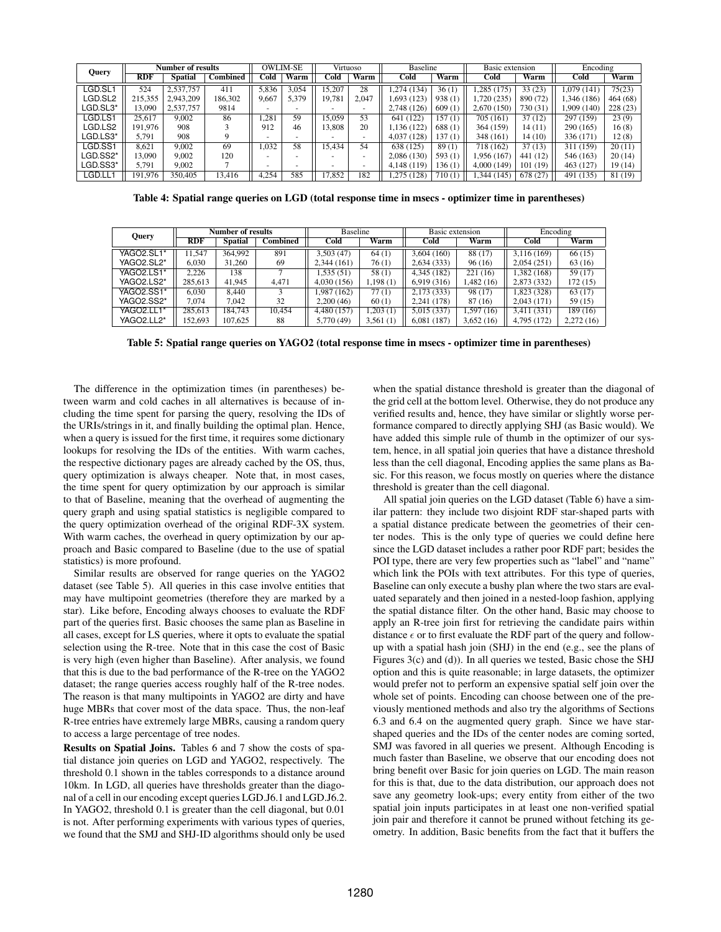| Query               |            | OWLIM-SE<br>Number of results |          |       | Virtuoso |        | <b>Baseline</b> |                | Basic extension |               | Encoding |              |          |
|---------------------|------------|-------------------------------|----------|-------|----------|--------|-----------------|----------------|-----------------|---------------|----------|--------------|----------|
|                     | <b>RDF</b> | <b>Spatial</b>                | Combined | Cold  | Warm     | Cold   | Warm            | Cold           | Warm            | Cold          | Warm     | Cold         | Warm     |
| _GD.SL <sup>.</sup> | 524        | 2.537.757                     | 411      | 5.836 | 3.054    | 15.207 | 28              | ,274(134)      | 36(1)           | .285<br>(175) | 33 (23)  | .079(141)    | 75(23)   |
| LGD.SL2             | 215.355    | 2.943.209                     | 186.302  | 9.667 | 5.379    | 19.781 | 2.047           | .693(123)      | 938(1)          | 1,720 (235)   | 890 (72) | .346(186)    | 464 (68) |
| LGD.SL3*            | 13,090     | 2.537.757                     | 9814     |       |          |        |                 | 2.748 (126)    | 609(1)          | 2,670 (150)   | 730 (31) | .909 (140)   | 228(23)  |
| LGD.LS1             | 25.617     | 9.002                         | 86       | .281  | 59       | 15.059 | 53              | (122)<br>641   | 157(1)          | 705 (161)     | 37(12)   | 297 (159)    | 23(9)    |
| LGD.LS2             | 191.976    | 908                           |          | 912   | 46       | 13.808 | 20              | .136 (122)     | 688(1)          | 364 (159)     | 14(11)   | 290 (165)    | 16(8)    |
| LGD.LS3*            | 5.791      | 908                           |          |       |          |        |                 | 4.037<br>(128) | 137(1)          | 348 (161)     | 14(10)   | 336 (171)    | 12(8)    |
| LGD.SS1             | 8.621      | 9.002                         | 69       | 1.032 | 58       | 15.434 | 54              | 638 (125)      | 89(1)           | 718 (162)     | 37(13)   | 311 (159)    | 20(11)   |
| LGD.SS2*            | 13.090     | 9.002                         | 120      |       |          |        |                 | 2,086 (130)    | 593(1)          | 1.956 (167)   | 441 (12) | 546 (163)    | 20(14)   |
| LGD.SS3*            | 5.791      | 9.002                         |          |       |          |        |                 | 4.148 (119)    | 136(1)          | 4,000(149)    | 101(19)  | 463 (127)    | 19 (14)  |
| -GD.LL1             | 191.976    | 350,405                       | 13.416   | 4.254 | 585      | 17.852 | 182             | .275<br>(128)  | 710(1)          | .344(145)     | 678 (27) | (135)<br>491 | 81 (19)  |

Table 4: Spatial range queries on LGD (total response time in msecs - optimizer time in parentheses)

|            |            | <b>Number of results</b> |          | <b>Baseline</b> |          | Basic extension |            | Encoding    |           |
|------------|------------|--------------------------|----------|-----------------|----------|-----------------|------------|-------------|-----------|
| Query      | <b>RDF</b> | <b>Spatial</b>           | Combined | Cold            | Warm     | Cold            | Warm       | Cold        | Warm      |
| YAGO2.SL1* | 11.547     | 364,992                  | 891      | 3,503(47)       | 64(1)    | 3,604(160)      | 88 (17)    | 3,116(169)  | 66(15)    |
| YAGO2.SL2* | 6.030      | 31.260                   | 69       | 2,344(161)      | 76(1)    | 2,634(333)      | 96(16)     | 2,054(251)  | 63(16)    |
| YAGO2.LS1* | 2.226      | 138                      |          | 1,535(51)       | 58(1)    | 4,345 (182)     | 221(16)    | 1,382 (168) | 59 (17)   |
| YAGO2.LS2* | 285,613    | 41.945                   | 4.471    | 4,030(156)      | 1,198(1) | 6,919 (316)     | 1,482 (16) | 2,873 (332) | 172 (15)  |
| YAGO2.SS1* | 6.030      | 8.440                    |          | 1,987 (162)     | 77(1)    | 2,173 (333)     | 98 (17)    | 1,823 (328) | 63(17)    |
| YAGO2.SS2* | 7.074      | 7.042                    | 32       | 2,200(46)       | 60(1)    | 2.241 (178)     | 87 (16)    | 2,043(171)  | 59 (15)   |
| YAGO2.LL1* | 285,613    | 184,743                  | 10.454   | 4,480 (157)     | 1,203(1) | 5,015 (337)     | 1,597(16)  | 3,411 (331) | 189 (16)  |
| YAGO2.LL2* | 152.693    | 107,625                  | 88       | 5,770 (49)      | 3,561(1) | 6,081(187)      | 3,652(16)  | 4,795 (172) | 2,272(16) |

Table 5: Spatial range queries on YAGO2 (total response time in msecs - optimizer time in parentheses)

The difference in the optimization times (in parentheses) between warm and cold caches in all alternatives is because of including the time spent for parsing the query, resolving the IDs of the URIs/strings in it, and finally building the optimal plan. Hence, when a query is issued for the first time, it requires some dictionary lookups for resolving the IDs of the entities. With warm caches, the respective dictionary pages are already cached by the OS, thus, query optimization is always cheaper. Note that, in most cases, the time spent for query optimization by our approach is similar to that of Baseline, meaning that the overhead of augmenting the query graph and using spatial statistics is negligible compared to the query optimization overhead of the original RDF-3X system. With warm caches, the overhead in query optimization by our approach and Basic compared to Baseline (due to the use of spatial statistics) is more profound.

Similar results are observed for range queries on the YAGO2 dataset (see Table 5). All queries in this case involve entities that may have multipoint geometries (therefore they are marked by a star). Like before, Encoding always chooses to evaluate the RDF part of the queries first. Basic chooses the same plan as Baseline in all cases, except for LS queries, where it opts to evaluate the spatial selection using the R-tree. Note that in this case the cost of Basic is very high (even higher than Baseline). After analysis, we found that this is due to the bad performance of the R-tree on the YAGO2 dataset; the range queries access roughly half of the R-tree nodes. The reason is that many multipoints in YAGO2 are dirty and have huge MBRs that cover most of the data space. Thus, the non-leaf R-tree entries have extremely large MBRs, causing a random query to access a large percentage of tree nodes.

Results on Spatial Joins. Tables 6 and 7 show the costs of spatial distance join queries on LGD and YAGO2, respectively. The threshold 0.1 shown in the tables corresponds to a distance around 10km. In LGD, all queries have thresholds greater than the diagonal of a cell in our encoding except queries LGD.J6.1 and LGD.J6.2. In YAGO2, threshold 0.1 is greater than the cell diagonal, but 0.01 is not. After performing experiments with various types of queries, we found that the SMJ and SHJ-ID algorithms should only be used

when the spatial distance threshold is greater than the diagonal of the grid cell at the bottom level. Otherwise, they do not produce any verified results and, hence, they have similar or slightly worse performance compared to directly applying SHJ (as Basic would). We have added this simple rule of thumb in the optimizer of our system, hence, in all spatial join queries that have a distance threshold less than the cell diagonal, Encoding applies the same plans as Basic. For this reason, we focus mostly on queries where the distance threshold is greater than the cell diagonal.

All spatial join queries on the LGD dataset (Table 6) have a similar pattern: they include two disjoint RDF star-shaped parts with a spatial distance predicate between the geometries of their center nodes. This is the only type of queries we could define here since the LGD dataset includes a rather poor RDF part; besides the POI type, there are very few properties such as "label" and "name" which link the POIs with text attributes. For this type of queries, Baseline can only execute a bushy plan where the two stars are evaluated separately and then joined in a nested-loop fashion, applying the spatial distance filter. On the other hand, Basic may choose to apply an R-tree join first for retrieving the candidate pairs within distance  $\epsilon$  or to first evaluate the RDF part of the query and followup with a spatial hash join (SHJ) in the end (e.g., see the plans of Figures 3(c) and (d)). In all queries we tested, Basic chose the SHJ option and this is quite reasonable; in large datasets, the optimizer would prefer not to perform an expensive spatial self join over the whole set of points. Encoding can choose between one of the previously mentioned methods and also try the algorithms of Sections 6.3 and 6.4 on the augmented query graph. Since we have starshaped queries and the IDs of the center nodes are coming sorted, SMJ was favored in all queries we present. Although Encoding is much faster than Baseline, we observe that our encoding does not bring benefit over Basic for join queries on LGD. The main reason for this is that, due to the data distribution, our approach does not save any geometry look-ups; every entity from either of the two spatial join inputs participates in at least one non-verified spatial join pair and therefore it cannot be pruned without fetching its geometry. In addition, Basic benefits from the fact that it buffers the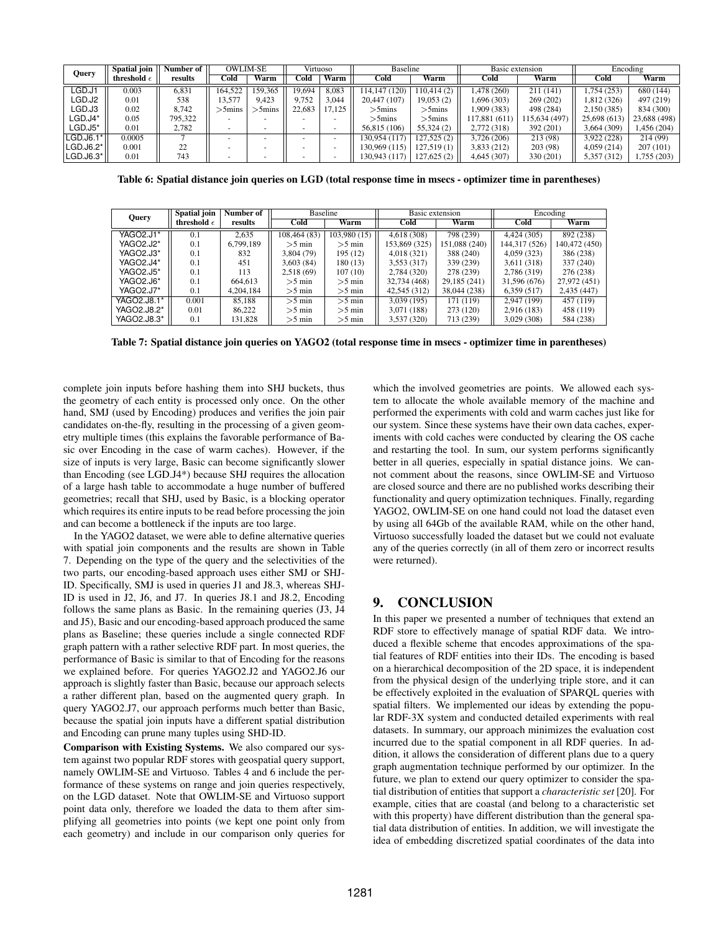| Ouerv       | Spatial join         | Number of | <b>OWLIM-SE</b> |         | Virtuoso |       | Baseline          |              | Basic extension |               | Encoding     |              |
|-------------|----------------------|-----------|-----------------|---------|----------|-------|-------------------|--------------|-----------------|---------------|--------------|--------------|
|             | threshold $\epsilon$ | results   | Cold            | Warm    | ∑old     | Warm  | Cold              | Warm         | Cold            | Warm          | Cold         | Warm         |
| LGD.J1      | 0.003                | 6.831     | 164,522         | 159.365 | 19.694   | 8.083 | (14.147 (120)     | 110,414(2)   | 1.478(260)      | 211 (141)     | 1,754(253)   | 680 (144)    |
| LGD.J2      | 0.01                 | 538       | 13.577          | 9.423   | 9,752    | 3.044 | 20,447 (107)      | 19,053(2)    | .696(303)       | 269 (202)     | 1.812 (326)  | 497 (219)    |
| LGD.J3      | 0.02                 | 8.742     | 5mins           | >5mins  | 22.683   | 7.125 | $>$ 5 $\rm{mins}$ | $>$ 5 $mins$ | 1,909 (383)     | 498 (284)     | 2,150(385)   | 834 (300)    |
| LGD.J4*     | 0.05                 | 795.322   |                 |         |          |       | $>$ 5 $\rm{mins}$ | $>$ 5 $mins$ | 117,881 (611)   | 115.634 (497) | 25,698 (613) | 23,688 (498) |
| $LGD.J5*$   | 0.01                 | 2.782     |                 | -       |          |       | 56,815 (106)      | 55,324(2)    | 2,772 (318)     | 392 (201)     | 3,664 (309)  | 456(204)     |
| LGD.J6.1*   | 0.0005               |           |                 | -       |          |       | 130.954 (117)     | 127.525(2)   | 3.726 (206)     | 213 (98)      | 3.922 (228)  | 214 (99)     |
| $LGD.J6.2*$ | 0.001                | 22        |                 |         |          |       | 130,969 (115)     | 127.519(1)   | 3.833 (212)     | 203 (98)      | 4,059(214)   | 207 (101)    |
| $LGD.J6.3*$ | 0.01                 | 743       |                 |         |          |       | 130.943 (117)     | 127,625(2)   | 4,645 (307)     | 330 (201)     | 5,357 (312)  | .755(203)    |

Table 6: Spatial distance join queries on LGD (total response time in msecs - optimizer time in parentheses)

| Query       | Spatial join         | Number of | <b>Baseline</b> |              | Basic extension          |               | Encoding      |               |
|-------------|----------------------|-----------|-----------------|--------------|--------------------------|---------------|---------------|---------------|
|             | threshold $\epsilon$ | results   | Cold            | Warm         | Cold                     | Warm          | Cold          | Warm          |
| YAGO2.J1*   | 0.1                  | 2.635     | 108,464 (83)    | 103,980 (15) | 4,618 (308)              | 798 (239)     | 4,424 (305)   | 892 (238)     |
| YAGO2.J2*   | 0.1                  | 6,799,189 | $>5$ min        | $>5$ min     | 153,869 (325)            | 151,088 (240) | 144,317 (526) | 140,472 (450) |
| YAGO2.J3*   | 0.1                  | 832       | 3,804 (79)      | 195(12)      | 4,018(321)               | 388 (240)     | 4,059(323)    | 386 (238)     |
| YAGO2.J4*   | 0.1                  | 451       | 3,603(84)       | 180(13)      | 3,553(317)               | 339 (239)     | 3,611 (318)   | 337 (240)     |
| YAGO2.J5*   | 0.1                  | 113       | 2,518 (69)      | 107(10)      | 2,784 (320)              | 278 (239)     | 2,786 (319)   | 276 (238)     |
| YAGO2.J6*   | 0.1                  | 664,613   | $>5$ min        | $>5$ min     | 32,734 (468)             | 29,185 (241)  | 31,596 (676)  | 27,972 (451)  |
| YAGO2.J7*   | 0.1                  | 4.204.184 | $>5$ min        | $>5$ min     | 42,545 (312)             | 38,044 (238)  | 6,359(517)    | 2,435 (447)   |
| YAGO2.J8.1* | 0.001                | 85,188    | $>5$ min        | $>5$ min     | $\overline{3,039}$ (195) | 171 (119)     | 2.947 (199)   | 457 (119)     |
| YAGO2.J8.2* | 0.01                 | 86.222    | $>5$ min        | $>5$ min     | 3,071 (188)              | 273 (120)     | 2,916 (183)   | 458 (119)     |
| YAGO2.J8.3* | 0.1                  | 131.828   | $>5$ min        | $>5$ min     | 3,537 (320)              | 713 (239)     | 3,029 (308)   | 584 (238)     |

Table 7: Spatial distance join queries on YAGO2 (total response time in msecs - optimizer time in parentheses)

complete join inputs before hashing them into SHJ buckets, thus the geometry of each entity is processed only once. On the other hand, SMJ (used by Encoding) produces and verifies the join pair candidates on-the-fly, resulting in the processing of a given geometry multiple times (this explains the favorable performance of Basic over Encoding in the case of warm caches). However, if the size of inputs is very large, Basic can become significantly slower than Encoding (see LGD.J4\*) because SHJ requires the allocation of a large hash table to accommodate a huge number of buffered geometries; recall that SHJ, used by Basic, is a blocking operator which requires its entire inputs to be read before processing the join and can become a bottleneck if the inputs are too large.

In the YAGO2 dataset, we were able to define alternative queries with spatial join components and the results are shown in Table 7. Depending on the type of the query and the selectivities of the two parts, our encoding-based approach uses either SMJ or SHJ-ID. Specifically, SMJ is used in queries J1 and J8.3, whereas SHJ-ID is used in J2, J6, and J7. In queries J8.1 and J8.2, Encoding follows the same plans as Basic. In the remaining queries (J3, J4 and J5), Basic and our encoding-based approach produced the same plans as Baseline; these queries include a single connected RDF graph pattern with a rather selective RDF part. In most queries, the performance of Basic is similar to that of Encoding for the reasons we explained before. For queries YAGO2.J2 and YAGO2.J6 our approach is slightly faster than Basic, because our approach selects a rather different plan, based on the augmented query graph. In query YAGO2.J7, our approach performs much better than Basic, because the spatial join inputs have a different spatial distribution and Encoding can prune many tuples using SHD-ID.

Comparison with Existing Systems. We also compared our system against two popular RDF stores with geospatial query support, namely OWLIM-SE and Virtuoso. Tables 4 and 6 include the performance of these systems on range and join queries respectively, on the LGD dataset. Note that OWLIM-SE and Virtuoso support point data only, therefore we loaded the data to them after simplifying all geometries into points (we kept one point only from each geometry) and include in our comparison only queries for

which the involved geometries are points. We allowed each system to allocate the whole available memory of the machine and performed the experiments with cold and warm caches just like for our system. Since these systems have their own data caches, experiments with cold caches were conducted by clearing the OS cache and restarting the tool. In sum, our system performs significantly better in all queries, especially in spatial distance joins. We cannot comment about the reasons, since OWLIM-SE and Virtuoso are closed source and there are no published works describing their functionality and query optimization techniques. Finally, regarding YAGO2, OWLIM-SE on one hand could not load the dataset even by using all 64Gb of the available RAM, while on the other hand, Virtuoso successfully loaded the dataset but we could not evaluate any of the queries correctly (in all of them zero or incorrect results were returned).

# 9. CONCLUSION

In this paper we presented a number of techniques that extend an RDF store to effectively manage of spatial RDF data. We introduced a flexible scheme that encodes approximations of the spatial features of RDF entities into their IDs. The encoding is based on a hierarchical decomposition of the 2D space, it is independent from the physical design of the underlying triple store, and it can be effectively exploited in the evaluation of SPARQL queries with spatial filters. We implemented our ideas by extending the popular RDF-3X system and conducted detailed experiments with real datasets. In summary, our approach minimizes the evaluation cost incurred due to the spatial component in all RDF queries. In addition, it allows the consideration of different plans due to a query graph augmentation technique performed by our optimizer. In the future, we plan to extend our query optimizer to consider the spatial distribution of entities that support a *characteristic set* [20]. For example, cities that are coastal (and belong to a characteristic set with this property) have different distribution than the general spatial data distribution of entities. In addition, we will investigate the idea of embedding discretized spatial coordinates of the data into